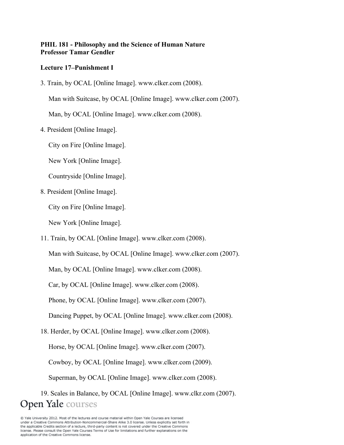## **PHIL 181 - Philosophy and the Science of Human Nature Professor Tamar Gendler**

## **Lecture 17–Punishment I**

3. Train, by OCAL [Online Image]. www.clker.com (2008).

Man with Suitcase, by OCAL [Online Image]. www.clker.com (2007).

Man, by OCAL [Online Image]. www.clker.com (2008).

4. President [Online Image].

City on Fire [Online Image].

New York [Online Image].

Countryside [Online Image].

8. President [Online Image].

City on Fire [Online Image].

New York [Online Image].

11. Train, by OCAL [Online Image]. www.clker.com (2008).

Man with Suitcase, by OCAL [Online Image]. www.clker.com (2007).

Man, by OCAL [Online Image]. www.clker.com (2008).

Car, by OCAL [Online Image]. www.clker.com (2008).

Phone, by OCAL [Online Image]. www.clker.com (2007).

Dancing Puppet, by OCAL [Online Image]. www.clker.com (2008).

18. Herder, by OCAL [Online Image]. www.clker.com (2008).

Horse, by OCAL [Online Image]. www.clker.com (2007).

Cowboy, by OCAL [Online Image]. www.clker.com (2009).

Superman, by OCAL [Online Image]. www.clker.com (2008).

19. Scales in Balance, by OCAL [Online Image]. www.clkr.com (2007). **Open Yale** courses

@ Yale University 2012. Most of the lectures and course material within Open Yale Courses are licensed under a Creative Commons Attribution-Noncommercial-Share Alike 3.0 license. Unless explicitly set forth in the applicable Credits section of a lecture, third-party content is not covered under the Creative Commons license. Please consult the Open Yale Courses Terms of Use for limitations and further explanations on the application of the Creative Commons license.